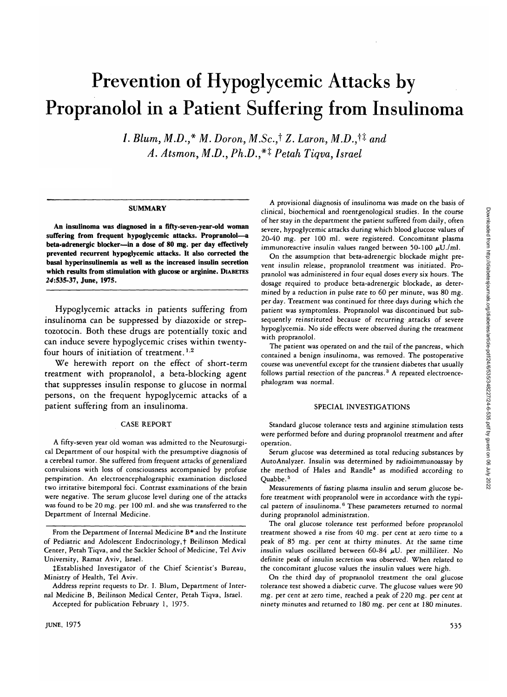# Prevention of Hypoglycemic Attacks by Propranolol in a Patient Suffering from Insulinoma

1. Blum, M.D.,\* M. Doron, M.Sc.,<sup>†</sup> Z. Laron, M.D.,<sup>†‡</sup> and *A. Atsmon, M.D., Ph.D.,\*i Petah Tiqva, Israel*

## **SUMMARY**

**An insulinoma was diagnosed in a fifty-seven-year-old woman suffering from frequent hypoglycemic attacks. Propranolol—a beta-adrenergic blocker—in a dose of 80 mg. per day effectively prevented recurrent hypoglycemic attacks. It also corrected the basal hyperinsulinemia as well as the increased insulin secretion which results from stimulation with glucose or arginine. DIABETES 24:535-37, June, 1975.**

Hypoglycemic attacks in patients suffering from insulinoma can be suppressed by diazoxide or streptozotocin. Both these drugs are potentially toxic and can induce severe hypoglycemic crises within twentyfour hours of initiation of treatment.<sup>1,2</sup>

We herewith report on the effect of short-term treatment with propranolol, a beta-blocking agent that suppresses insulin response to glucose in normal persons, on the frequent hypoglycemic attacks of a patient suffering from an insulinoma.

### CASE REPORT

A fifty-seven year old woman was admitted to the Neurosurgical Department of our hospital with the presumptive diagnosis of a cerebral tumor. She suffered from frequent attacks of generalized convulsions with loss of consciousness accompanied by profuse perspiration. An electroencephalographic examination disclosed two irritative bitemporal foci. Contrast examinations of the brain were negative. The serum glucose level during one of the attacks was found to be 20 mg. per 100 ml. and she was transferred to the Department of Internal Medicine.

Accepted for publication February 1, 1975.

A provisional diagnosis of insulinoma was made on the basis of clinical, biochemical and roentgenological studies. In the course of her stay in the department the patient suffered from daily, often severe, hypoglycemic attacks during which blood glucose values of 20-40 mg. per 100 ml. were registered. Concomitant plasma immunoreactive insulin values ranged between 50-100  $\mu$ U./ml.

On the assumption that beta-adrenergic blockade might prevent insulin release, propranolol treatment was initiated. Propranolol was administered in four equal doses every six hours. The dosage required to produce beta-adrenergic blockade, as determined by a reduction in pulse rate to 60 per minute, was 80 mg. per day. Treatment was continued for three days during which the patient was symptomless. Propranolol was discontinued but subsequently reinstituted because of recurring attacks of severe hypoglycemia. No side effects were observed during the treatment with propranolol.

The patient was operated on and the tail of the pancreas, which contained a benign insulinoma, was removed. The postoperative course was uneventful except for the transient diabetes that usually follows partial resection of the pancreas.<sup>3</sup> A repeated electroencephalogram was normal.

## SPECIAL INVESTIGATIONS

Standard glucose tolerance tests and arginine stimulation tests were performed before and during propranolol treatment and after operation.

Serum glucose was determined as total reducing substances by AutoAnalyzer. Insulin was determined by radioimmunoassay by the method of Hales and Randle<sup>4</sup> as modified according to Quabbe.<sup>5</sup>

Measurements of fasting plasma insulin and serum glucose before treatment with propranolol were in accordance with the typical pattern of insulinoma.<sup>6</sup> These parameters returned to normal during propranolol administration.

The oral glucose tolerance test performed before propranolol treatment showed a rise from 40 mg. per cent at zero time to a peak of 85 mg. per cent at thirty minutes. At the same time insulin values oscillated between 60-84  $\mu$ U. per milliliter. No definite peak of insulin secretion was observed. When related to the concomitant glucose values the insulin values were high.

On the third day of propranolol treatment the oral glucose tolerance test showed a diabetic curve. The glucose values were 90 mg. per cent at zero time, reached a peak of 220 mg. per cent at ninety minutes and returned to 180 mg. per cent at 180 minutes.

From the Department of Internal Medicine B\* and the Institute of Pediatric and Adolescent Endocrinology,**t** Beilinson Medical Center, Petah Tiqva, and the Sackler School of Medicine, Tel Aviv University, Ramat Aviv, Israel.

<sup>^</sup>Established Investigator of the Chief Scientist's Bureau, Ministry of Health, Tel Aviv.

Address reprint requests to Dr. I. Blum, Department of Internal Medicine B, Beilinson Medical Center, Petah Tiqva, Israel.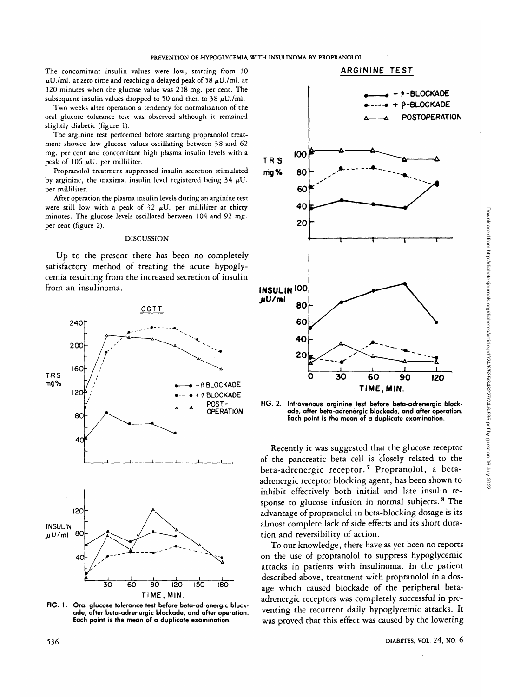The concomitant insulin values were low, starting from 10  $\mu$ U./ml. at zero time and reaching a delayed peak of 58  $\mu$ U./ml. at 120 minutes when the glucose value was 218 mg. per cent. The subsequent insulin values dropped to 50 and then to 38  $\mu$ U./ml.

Two weeks after operation a tendency for normalization of the oral glucose tolerance test was observed although it remained slightly diabetic (figure 1).

The arginine test performed before starting propranolol treatment showed low glucose values oscillating between 38 and 62 mg. per cent and concomitant high plasma insulin levels with a peak of 106  $\mu$ U. per milliliter.

Propranolol treatment suppressed insulin secretion stimulated by arginine, the maximal insulin level registered being  $34 \mu U$ . per milliliter.

After operation the plasma insulin levels during an arginine test were still low with a peak of  $32 \mu U$ . per milliliter at thirty minutes. The glucose levels oscillated between 104 and 92 mg. per cent (figure 2).

# DISCUSSION

Up to the present there has been no completely satisfactory method of treating the acute hypoglycemia resulting from the increased secretion of insulin from an insulinoma.



**FIG. 1. Oral glucose tolerance test before beta-adrenergic blockade, after beta-adrenergic blockade, and after operation. Each point is the mean of a duplicate examination.**



**FIG. 2. Intravenous arginine test before beta-adrenergic blockade, after beta-adrenergic blockade, and after operation. Each point is the mean of a duplicate examination.**

Recently it was suggested that the glucose receptor of the pancreatic beta cell is closely related to the beta-adrenergic receptor.<sup>7</sup> Propranolol, a betaadrenergic receptor blocking agent, has been shown to inhibit effectively both initial and late insulin response to glucose infusion in normal subjects.<sup>8</sup> The advantage of propranolol in beta-blocking dosage is its almost complete lack of side effects and its short duration and reversibility of action.

To our knowledge, there have as yet been no reports on the use of propranolol to suppress hypoglycemic attacks in patients with insulinoma. In the patient described above, treatment with propranolol in a dosage which caused blockade of the peripheral betaadrenergic receptors was completely successful in preventing the recurrent daily hypoglycemic attacks. It was proved that this effect was caused by the lowering